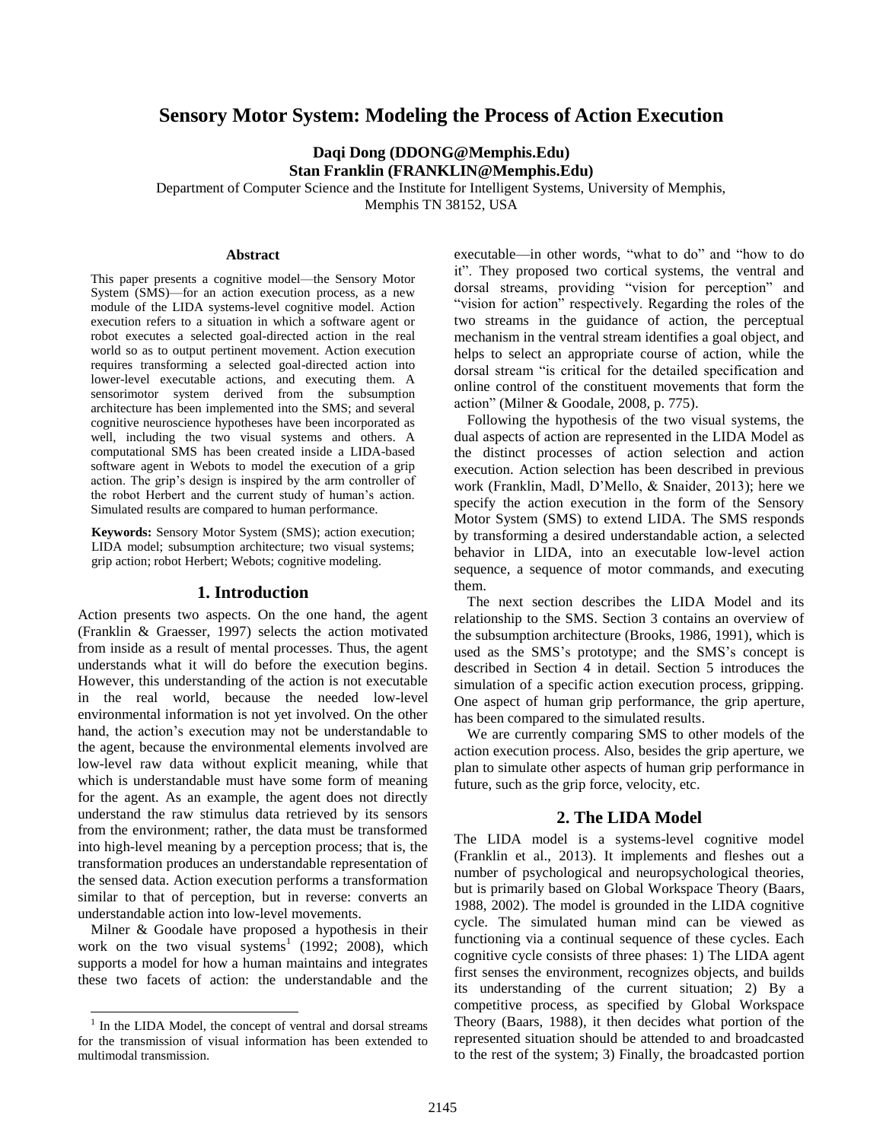# **Sensory Motor System: Modeling the Process of Action Execution**

**Daqi Dong (DDONG@Memphis.Edu) Stan Franklin (FRANKLIN@Memphis.Edu)**

Department of Computer Science and the Institute for Intelligent Systems, University of Memphis, Memphis TN 38152, USA

#### **Abstract**

This paper presents a cognitive model—the Sensory Motor System (SMS)—for an action execution process, as a new module of the LIDA systems-level cognitive model. Action execution refers to a situation in which a software agent or robot executes a selected goal-directed action in the real world so as to output pertinent movement. Action execution requires transforming a selected goal-directed action into lower-level executable actions, and executing them. A sensorimotor system derived from the subsumption architecture has been implemented into the SMS; and several cognitive neuroscience hypotheses have been incorporated as well, including the two visual systems and others. A computational SMS has been created inside a LIDA-based software agent in Webots to model the execution of a grip action. The grip's design is inspired by the arm controller of the robot Herbert and the current study of human's action. Simulated results are compared to human performance.

**Keywords:** Sensory Motor System (SMS); action execution; LIDA model; subsumption architecture; two visual systems; grip action; robot Herbert; Webots; cognitive modeling.

#### **1. Introduction**

Action presents two aspects. On the one hand, the agent [\(Franklin & Graesser, 1997\)](#page-5-0) selects the action motivated from inside as a result of mental processes. Thus, the agent understands what it will do before the execution begins. However, this understanding of the action is not executable in the real world, because the needed low-level environmental information is not yet involved. On the other hand, the action's execution may not be understandable to the agent, because the environmental elements involved are low-level raw data without explicit meaning, while that which is understandable must have some form of meaning for the agent. As an example, the agent does not directly understand the raw stimulus data retrieved by its sensors from the environment; rather, the data must be transformed into high-level meaning by a perception process; that is, the transformation produces an understandable representation of the sensed data. Action execution performs a transformation similar to that of perception, but in reverse: converts an understandable action into low-level movements.

Milner & Goodale have proposed a hypothesis in their work on the two visual systems<sup>1</sup> [\(1992;](#page-5-1) [2008\)](#page-5-2), which supports a model for how a human maintains and integrates these two facets of action: the understandable and the

 $\overline{\phantom{a}}$ 

executable—in other words, "what to do" and "how to do it". They proposed two cortical systems, the ventral and dorsal streams, providing "vision for perception" and "vision for action" respectively. Regarding the roles of the two streams in the guidance of action, the perceptual mechanism in the ventral stream identifies a goal object, and helps to select an appropriate course of action, while the dorsal stream "is critical for the detailed specification and online control of the constituent movements that form the action" [\(Milner & Goodale, 2008, p. 775\)](#page-5-2).

Following the hypothesis of the two visual systems, the dual aspects of action are represented in the LIDA Model as the distinct processes of action selection and action execution. Action selection has been described in previous work [\(Franklin, Madl, D'Mello, & Snaider, 2013\)](#page-5-3); here we specify the action execution in the form of the Sensory Motor System (SMS) to extend LIDA. The SMS responds by transforming a desired understandable action, a selected behavior in LIDA, into an executable low-level action sequence, a sequence of motor commands, and executing them.

The next section describes the LIDA Model and its relationship to the SMS. Section 3 contains an overview of the subsumption architecture [\(Brooks, 1986,](#page-5-4) [1991\)](#page-5-5), which is used as the SMS's prototype; and the SMS's concept is described in Section 4 in detail. Section 5 introduces the simulation of a specific action execution process, gripping. One aspect of human grip performance, the grip aperture, has been compared to the simulated results.

We are currently comparing SMS to other models of the action execution process. Also, besides the grip aperture, we plan to simulate other aspects of human grip performance in future, such as the grip force, velocity, etc.

#### **2. The LIDA Model**

The LIDA model is a systems-level cognitive model [\(Franklin et al., 2013\)](#page-5-3). It implements and fleshes out a number of psychological and neuropsychological theories, but is primarily based on Global Workspace Theory [\(Baars,](#page-5-6)  [1988,](#page-5-6) [2002\)](#page-5-7). The model is grounded in the LIDA cognitive cycle. The simulated human mind can be viewed as functioning via a continual sequence of these cycles. Each cognitive cycle consists of three phases: 1) The LIDA agent first senses the environment, recognizes objects, and builds its understanding of the current situation; 2) By a competitive process, as specified by Global Workspace Theory [\(Baars, 1988\)](#page-5-6), it then decides what portion of the represented situation should be attended to and broadcasted to the rest of the system; 3) Finally, the broadcasted portion

<sup>1</sup> In the LIDA Model, the concept of ventral and dorsal streams for the transmission of visual information has been extended to multimodal transmission.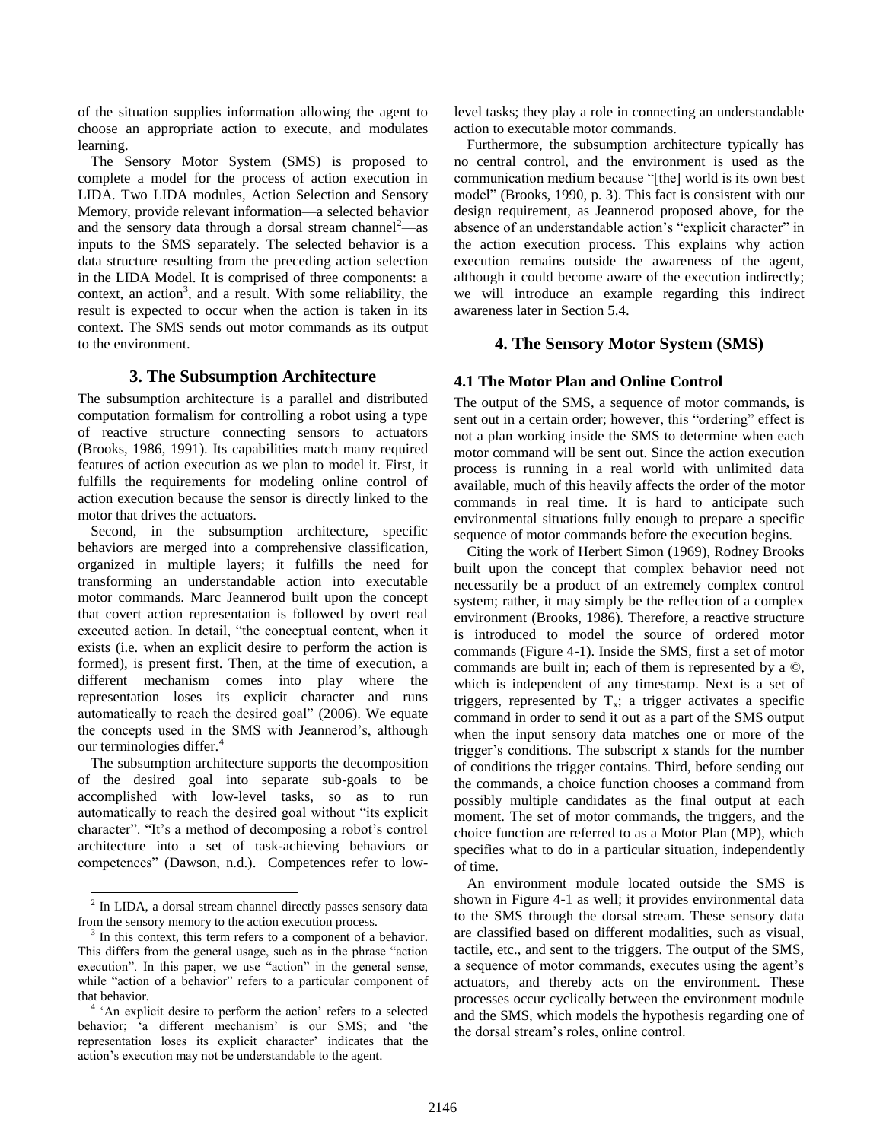of the situation supplies information allowing the agent to choose an appropriate action to execute, and modulates learning.

The Sensory Motor System (SMS) is proposed to complete a model for the process of action execution in LIDA. Two LIDA modules, Action Selection and Sensory Memory, provide relevant information—a selected behavior and the sensory data through a dorsal stream channel<sup>2</sup>—as inputs to the SMS separately. The selected behavior is a data structure resulting from the preceding action selection in the LIDA Model. It is comprised of three components: a context, an action<sup>3</sup>, and a result. With some reliability, the result is expected to occur when the action is taken in its context. The SMS sends out motor commands as its output to the environment.

# **3. The Subsumption Architecture**

The subsumption architecture is a parallel and distributed computation formalism for controlling a robot using a type of reactive structure connecting sensors to actuators [\(Brooks, 1986,](#page-5-4) [1991\)](#page-5-5). Its capabilities match many required features of action execution as we plan to model it. First, it fulfills the requirements for modeling online control of action execution because the sensor is directly linked to the motor that drives the actuators.

Second, in the subsumption architecture, specific behaviors are merged into a comprehensive classification, organized in multiple layers; it fulfills the need for transforming an understandable action into executable motor commands. Marc Jeannerod built upon the concept that covert action representation is followed by overt real executed action. In detail, "the conceptual content, when it exists (i.e. when an explicit desire to perform the action is formed), is present first. Then, at the time of execution, a different mechanism comes into play where the representation loses its explicit character and runs automatically to reach the desired goal" [\(2006\)](#page-5-8). We equate the concepts used in the SMS with Jeannerod's, although our terminologies differ.<sup>4</sup>

The subsumption architecture supports the decomposition of the desired goal into separate sub-goals to be accomplished with low-level tasks, so as to run automatically to reach the desired goal without "its explicit character". "It's a method of decomposing a robot's control architecture into a set of task-achieving behaviors or competences" [\(Dawson, n.d.\)](#page-5-9). Competences refer to low-

 $\overline{\phantom{a}}$ 

level tasks; they play a role in connecting an understandable action to executable motor commands.

Furthermore, the subsumption architecture typically has no central control, and the environment is used as the communication medium because "[the] world is its own best model" [\(Brooks, 1990, p. 3\)](#page-5-10). This fact is consistent with our design requirement, as Jeannerod proposed above, for the absence of an understandable action's "explicit character" in the action execution process. This explains why action execution remains outside the awareness of the agent, although it could become aware of the execution indirectly; we will introduce an example regarding this indirect awareness later in Section 5.4.

# **4. The Sensory Motor System (SMS)**

# **4.1 The Motor Plan and Online Control**

The output of the SMS, a sequence of motor commands, is sent out in a certain order; however, this "ordering" effect is not a plan working inside the SMS to determine when each motor command will be sent out. Since the action execution process is running in a real world with unlimited data available, much of this heavily affects the order of the motor commands in real time. It is hard to anticipate such environmental situations fully enough to prepare a specific sequence of motor commands before the execution begins.

Citing the work of Herbert Simon [\(1969\)](#page-5-11), Rodney Brooks built upon the concept that complex behavior need not necessarily be a product of an extremely complex control system; rather, it may simply be the reflection of a complex environment [\(Brooks, 1986\)](#page-5-4). Therefore, a reactive structure is introduced to model the source of ordered motor commands (Figure 4-1). Inside the SMS, first a set of motor commands are built in; each of them is represented by a ©, which is independent of any timestamp. Next is a set of triggers, represented by  $T_x$ ; a trigger activates a specific command in order to send it out as a part of the SMS output when the input sensory data matches one or more of the trigger's conditions. The subscript x stands for the number of conditions the trigger contains. Third, before sending out the commands, a choice function chooses a command from possibly multiple candidates as the final output at each moment. The set of motor commands, the triggers, and the choice function are referred to as a Motor Plan (MP), which specifies what to do in a particular situation, independently of time.

An environment module located outside the SMS is shown in Figure 4-1 as well; it provides environmental data to the SMS through the dorsal stream. These sensory data are classified based on different modalities, such as visual, tactile, etc., and sent to the triggers. The output of the SMS, a sequence of motor commands, executes using the agent's actuators, and thereby acts on the environment. These processes occur cyclically between the environment module and the SMS, which models the hypothesis regarding one of the dorsal stream's roles, online control.

 $2$  In LIDA, a dorsal stream channel directly passes sensory data from the sensory memory to the action execution process.

<sup>3</sup> In this context, this term refers to a component of a behavior. This differs from the general usage, such as in the phrase "action execution". In this paper, we use "action" in the general sense, while "action of a behavior" refers to a particular component of that behavior.

<sup>&</sup>lt;sup>4</sup> 'An explicit desire to perform the action' refers to a selected behavior; 'a different mechanism' is our SMS; and 'the representation loses its explicit character' indicates that the action's execution may not be understandable to the agent.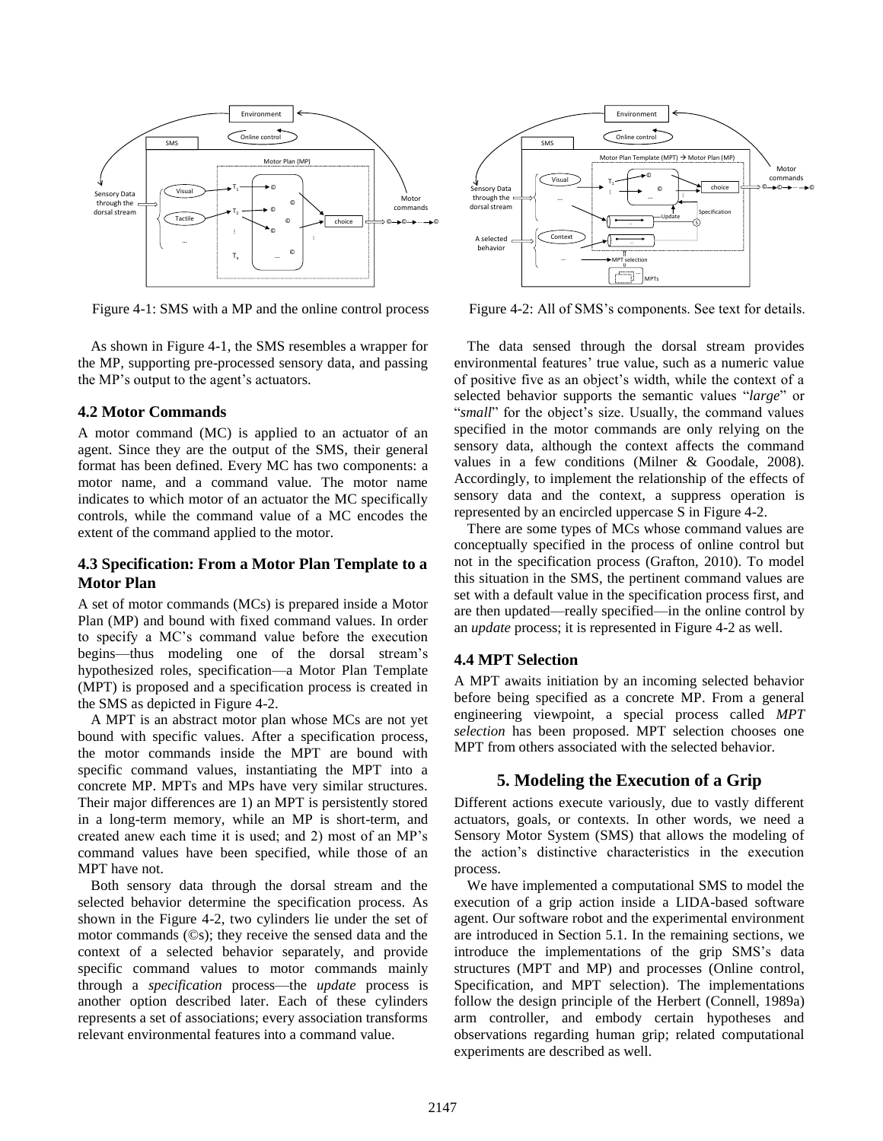

Figure 4-1: SMS with a MP and the online control process Figure 4-2: All of SMS's components. See text for details.

As shown in Figure 4-1, the SMS resembles a wrapper for the MP, supporting pre-processed sensory data, and passing the MP's output to the agent's actuators.

### **4.2 Motor Commands**

A motor command (MC) is applied to an actuator of an agent. Since they are the output of the SMS, their general format has been defined. Every MC has two components: a motor name, and a command value. The motor name indicates to which motor of an actuator the MC specifically controls, while the command value of a MC encodes the extent of the command applied to the motor.

# **4.3 Specification: From a Motor Plan Template to a Motor Plan**

A set of motor commands (MCs) is prepared inside a Motor Plan (MP) and bound with fixed command values. In order to specify a MC's command value before the execution begins—thus modeling one of the dorsal stream's hypothesized roles, specification—a Motor Plan Template (MPT) is proposed and a specification process is created in the SMS as depicted in Figure 4-2.

A MPT is an abstract motor plan whose MCs are not yet bound with specific values. After a specification process, the motor commands inside the MPT are bound with specific command values, instantiating the MPT into a concrete MP. MPTs and MPs have very similar structures. Their major differences are 1) an MPT is persistently stored in a long-term memory, while an MP is short-term, and created anew each time it is used; and 2) most of an MP's command values have been specified, while those of an MPT have not.

Both sensory data through the dorsal stream and the selected behavior determine the specification process. As shown in the Figure 4-2, two cylinders lie under the set of motor commands (©s); they receive the sensed data and the context of a selected behavior separately, and provide specific command values to motor commands mainly through a *specification* process—the *update* process is another option described later. Each of these cylinders represents a set of associations; every association transforms relevant environmental features into a command value.



The data sensed through the dorsal stream provides environmental features' true value, such as a numeric value of positive five as an object's width, while the context of a selected behavior supports the semantic values "*large*" or "small" for the object's size. Usually, the command values specified in the motor commands are only relying on the sensory data, although the context affects the command values in a few conditions [\(Milner & Goodale, 2008\)](#page-5-2). Accordingly, to implement the relationship of the effects of sensory data and the context, a suppress operation is represented by an encircled uppercase S in Figure 4-2.

There are some types of MCs whose command values are conceptually specified in the process of online control but not in the specification process [\(Grafton, 2010\)](#page-5-12). To model this situation in the SMS, the pertinent command values are set with a default value in the specification process first, and are then updated—really specified—in the online control by an *update* process; it is represented in Figure 4-2 as well.

# **4.4 MPT Selection**

A MPT awaits initiation by an incoming selected behavior before being specified as a concrete MP. From a general engineering viewpoint, a special process called *MPT selection* has been proposed. MPT selection chooses one MPT from others associated with the selected behavior.

# **5. Modeling the Execution of a Grip**

Different actions execute variously, due to vastly different actuators, goals, or contexts. In other words, we need a Sensory Motor System (SMS) that allows the modeling of the action's distinctive characteristics in the execution process.

We have implemented a computational SMS to model the execution of a grip action inside a LIDA-based software agent. Our software robot and the experimental environment are introduced in Section 5.1. In the remaining sections, we introduce the implementations of the grip SMS's data structures (MPT and MP) and processes (Online control, Specification, and MPT selection). The implementations follow the design principle of the Herbert [\(Connell, 1989a\)](#page-5-13) arm controller, and embody certain hypotheses and observations regarding human grip; related computational experiments are described as well.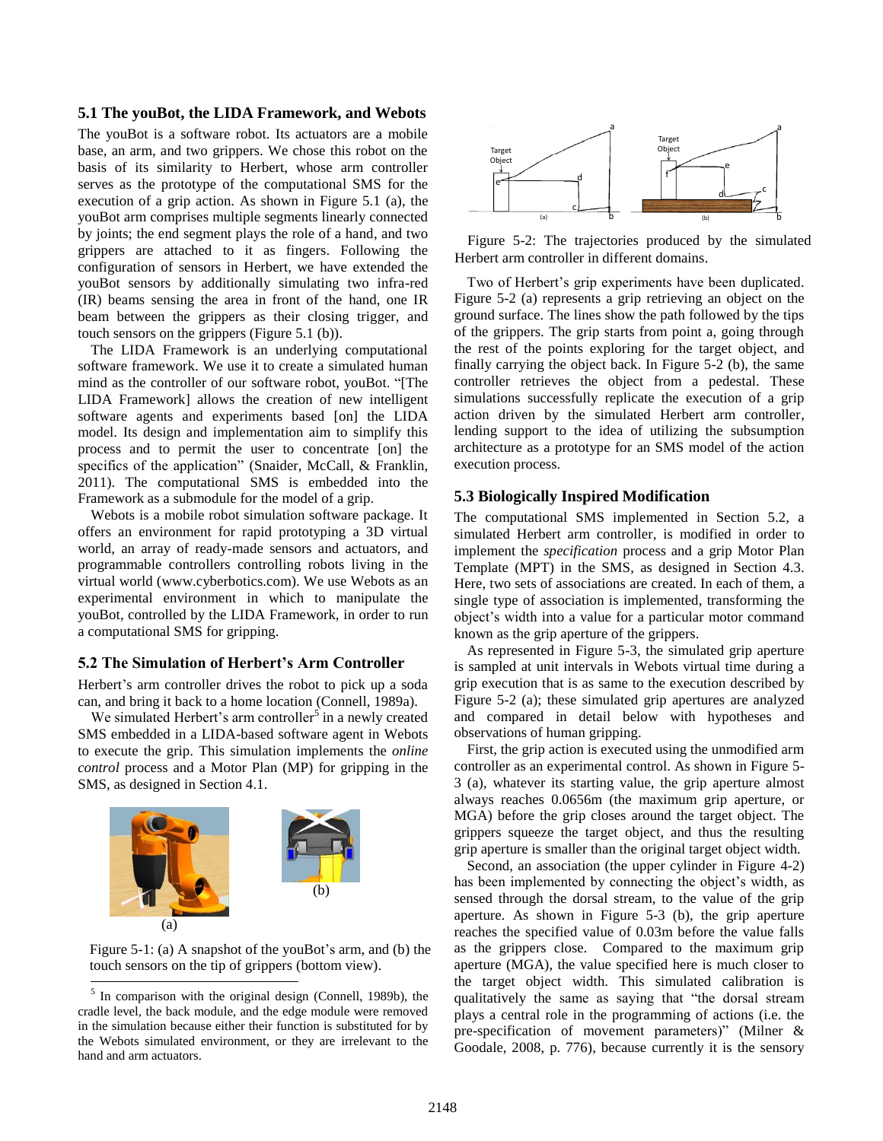#### **5.1 The youBot, the LIDA Framework, and Webots**

The youBot is a software robot. Its actuators are a mobile base, an arm, and two grippers. We chose this robot on the basis of its similarity to Herbert, whose arm controller serves as the prototype of the computational SMS for the execution of a grip action. As shown in Figure 5.1 (a), the youBot arm comprises multiple segments linearly connected by joints; the end segment plays the role of a hand, and two grippers are attached to it as fingers. Following the configuration of sensors in Herbert, we have extended the youBot sensors by additionally simulating two infra-red (IR) beams sensing the area in front of the hand, one IR beam between the grippers as their closing trigger, and touch sensors on the grippers (Figure 5.1 (b)).

The LIDA Framework is an underlying computational software framework. We use it to create a simulated human mind as the controller of our software robot, youBot. "[The LIDA Framework] allows the creation of new intelligent software agents and experiments based [on] the LIDA model. Its design and implementation aim to simplify this process and to permit the user to concentrate [on] the specifics of the application" [\(Snaider, McCall, & Franklin,](#page-5-14)  [2011\)](#page-5-14). The computational SMS is embedded into the Framework as a submodule for the model of a grip.

Webots is a mobile robot simulation software package. It offers an environment for rapid prototyping a 3D virtual world, an array of ready-made sensors and actuators, and programmable controllers controlling robots living in the virtual world [\(www.cyberbotics.com\)](#page-5-15). We use Webots as an experimental environment in which to manipulate the youBot, controlled by the LIDA Framework, in order to run a computational SMS for gripping.

### **5.2 The Simulation of Herbert's Arm Controller**

Herbert's arm controller drives the robot to pick up a soda can, and bring it back to a home location [\(Connell, 1989a\)](#page-5-13).

We simulated Herbert's arm controller<sup>5</sup> in a newly created SMS embedded in a LIDA-based software agent in Webots to execute the grip. This simulation implements the *online control* process and a Motor Plan (MP) for gripping in the SMS, as designed in Section 4.1.



Figure 5-1: (a) A snapshot of the youBot's arm, and (b) the touch sensors on the tip of grippers (bottom view).

l



Figure 5-2: The trajectories produced by the simulated Herbert arm controller in different domains.

Two of Herbert's grip experiments have been duplicated. Figure 5-2 (a) represents a grip retrieving an object on the ground surface. The lines show the path followed by the tips of the grippers. The grip starts from point a, going through the rest of the points exploring for the target object, and finally carrying the object back. In Figure 5-2 (b), the same controller retrieves the object from a pedestal. These simulations successfully replicate the execution of a grip action driven by the simulated Herbert arm controller, lending support to the idea of utilizing the subsumption architecture as a prototype for an SMS model of the action execution process.

#### **5.3 Biologically Inspired Modification**

The computational SMS implemented in Section 5.2, a simulated Herbert arm controller, is modified in order to implement the *specification* process and a grip Motor Plan Template (MPT) in the SMS, as designed in Section 4.3. Here, two sets of associations are created. In each of them, a single type of association is implemented, transforming the object's width into a value for a particular motor command known as the grip aperture of the grippers.

As represented in Figure 5-3, the simulated grip aperture is sampled at unit intervals in Webots virtual time during a grip execution that is as same to the execution described by Figure 5-2 (a); these simulated grip apertures are analyzed and compared in detail below with hypotheses and observations of human gripping.

First, the grip action is executed using the unmodified arm controller as an experimental control. As shown in Figure 5- 3 (a), whatever its starting value, the grip aperture almost always reaches 0.0656m (the maximum grip aperture, or MGA) before the grip closes around the target object. The grippers squeeze the target object, and thus the resulting grip aperture is smaller than the original target object width.

Second, an association (the upper cylinder in Figure 4-2) has been implemented by connecting the object's width, as sensed through the dorsal stream, to the value of the grip aperture. As shown in Figure 5-3 (b), the grip aperture reaches the specified value of 0.03m before the value falls as the grippers close. Compared to the maximum grip aperture (MGA), the value specified here is much closer to the target object width. This simulated calibration is qualitatively the same as saying that "the dorsal stream plays a central role in the programming of actions (i.e. the pre-specification of movement parameters)" [\(Milner &](#page-5-2)  [Goodale, 2008, p. 776\)](#page-5-2), because currently it is the sensory

<sup>&</sup>lt;sup>5</sup> In comparison with the original design [\(Connell, 1989b\)](#page-5-16), the cradle level, the back module, and the edge module were removed in the simulation because either their function is substituted for by the Webots simulated environment, or they are irrelevant to the hand and arm actuators.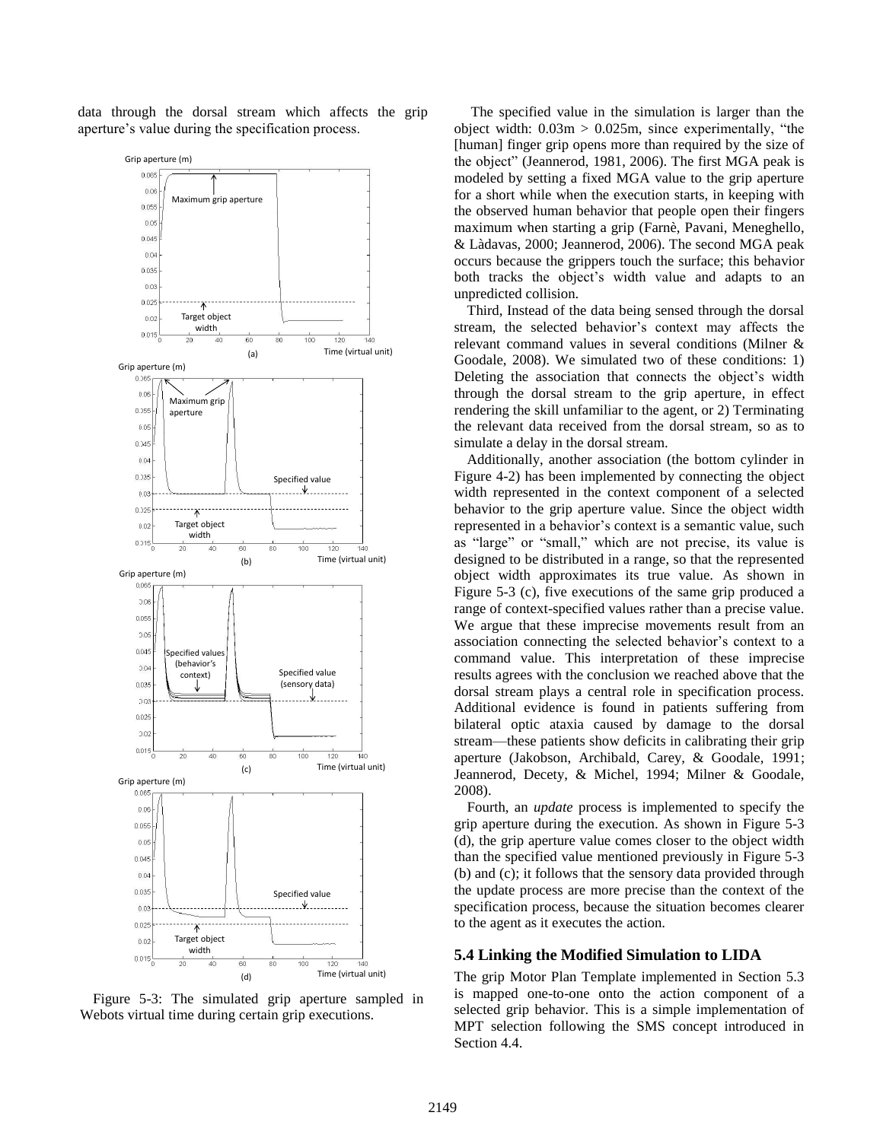data through the dorsal stream which affects the grip aperture's value during the specification process.



Figure 5-3: The simulated grip aperture sampled in Webots virtual time during certain grip executions.

The specified value in the simulation is larger than the object width:  $0.03m > 0.025m$ , since experimentally, "the [human] finger grip opens more than required by the size of the object" [\(Jeannerod, 1981,](#page-5-17) [2006\)](#page-5-8). The first MGA peak is modeled by setting a fixed MGA value to the grip aperture for a short while when the execution starts, in keeping with the observed human behavior that people open their fingers maximum when starting a grip [\(Farnè, Pavani, Meneghello,](#page-5-18)  [& Làdavas, 2000;](#page-5-18) [Jeannerod, 2006\)](#page-5-8). The second MGA peak occurs because the grippers touch the surface; this behavior both tracks the object's width value and adapts to an unpredicted collision.

Third, Instead of the data being sensed through the dorsal stream, the selected behavior's context may affects the relevant command values in several conditions [\(Milner &](#page-5-2)  [Goodale, 2008\)](#page-5-2). We simulated two of these conditions: 1) Deleting the association that connects the object's width through the dorsal stream to the grip aperture, in effect rendering the skill unfamiliar to the agent, or 2) Terminating the relevant data received from the dorsal stream, so as to simulate a delay in the dorsal stream.

Additionally, another association (the bottom cylinder in Figure 4-2) has been implemented by connecting the object width represented in the context component of a selected behavior to the grip aperture value. Since the object width represented in a behavior's context is a semantic value, such as "large" or "small," which are not precise, its value is designed to be distributed in a range, so that the represented object width approximates its true value. As shown in Figure 5-3 (c), five executions of the same grip produced a range of context-specified values rather than a precise value. We argue that these imprecise movements result from an association connecting the selected behavior's context to a command value. This interpretation of these imprecise results agrees with the conclusion we reached above that the dorsal stream plays a central role in specification process. Additional evidence is found in patients suffering from bilateral optic ataxia caused by damage to the dorsal stream—these patients show deficits in calibrating their grip aperture [\(Jakobson, Archibald, Carey, & Goodale, 1991;](#page-5-19) [Jeannerod, Decety, & Michel, 1994;](#page-5-20) [Milner & Goodale,](#page-5-2)  [2008\)](#page-5-2).

Fourth, an *update* process is implemented to specify the grip aperture during the execution. As shown in Figure 5-3 (d), the grip aperture value comes closer to the object width than the specified value mentioned previously in Figure 5-3 (b) and (c); it follows that the sensory data provided through the update process are more precise than the context of the specification process, because the situation becomes clearer to the agent as it executes the action.

### **5.4 Linking the Modified Simulation to LIDA**

The grip Motor Plan Template implemented in Section 5.3 is mapped one-to-one onto the action component of a selected grip behavior. This is a simple implementation of MPT selection following the SMS concept introduced in Section 4.4.